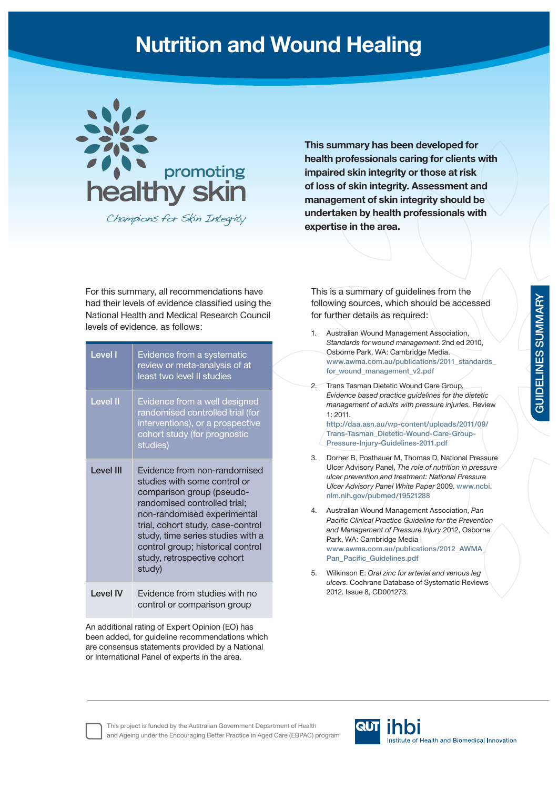## **Nutrition and Wound Healing**



Champions for Skin Integrity

**This summary has been developed for health professionals caring for clients with impaired skin integrity or those at risk of loss of skin integrity. Assessment and management of skin integrity should be undertaken by health professionals with expertise in the area.**

For this summary, all recommendations have had their levels of evidence classified using the National Health and Medical Research Council levels of evidence, as follows:

| <b>Level I</b>   | Evidence from a systematic<br>review or meta-analysis of at<br>least two level II studies                                                                                                                                                                                                                        |
|------------------|------------------------------------------------------------------------------------------------------------------------------------------------------------------------------------------------------------------------------------------------------------------------------------------------------------------|
| Level II         | Evidence from a well designed<br>randomised controlled trial (for<br>interventions), or a prospective<br>cohort study (for prognostic<br>studies)                                                                                                                                                                |
| <b>Level III</b> | Evidence from non-randomised<br>studies with some control or<br>comparison group (pseudo-<br>randomised controlled trial;<br>non-randomised experimental<br>trial, cohort study, case-control<br>study, time series studies with a<br>control group; historical control<br>study, retrospective cohort<br>study) |
| I evel IV        | Evidence from studies with no<br>control or comparison group                                                                                                                                                                                                                                                     |

An additional rating of Expert Opinion (EO) has been added, for guideline recommendations which are consensus statements provided by a National or International Panel of experts in the area.

This is a summary of guidelines from the following sources, which should be accessed for further details as required:

- 1. Australian Wound Management Association, *Standards for wound management*. 2nd ed 2010, Osborne Park, WA: Cambridge Media. **www.awma.com.au/publications/2011\_standards\_** for wound management v2.pdf 2. Trans Tasman Dietetic Wound Care Group, *Evidence based practice guidelines for the dietetic management of adults with pressure injuries.* Review 1: 2011. **http://daa.asn.au/wp-content/uploads/2011/09/ Trans-Tasman\_Dietetic-Wound-Care-Group-Pressure-Injury-Guidelines-2011.pdf**  3. Dorner B, Posthauer M, Thomas D, National Pressure Ulcer Advisory Panel, *The role of nutrition in pressure ulcer prevention and treatment: National Pressure Ulcer Advisory Panel White Paper* 2009. **www.ncbi. nlm.nih.gov/pubmed/19521288** 4. Australian Wound Management Association, *Pan*  **Pacific Clinical Practice Guideline for the Prevention** *and Management of Pressure Injury* 2012, Osborne Park, WA: Cambridge Media **www.awma.com.au/publications/2012\_AWMA\_** Pan\_Pacific\_Guidelines.pdf
	- 5. Wilkinson E: *Oral zinc for arterial and venous leg ulcers*. Cochrane Database of Systematic Reviews 2012. Issue 8, CD001273.

This project is funded by the Australian Government Department of Health and Ageing under the Encouraging Better Practice in Aged Care (EBPAC) program